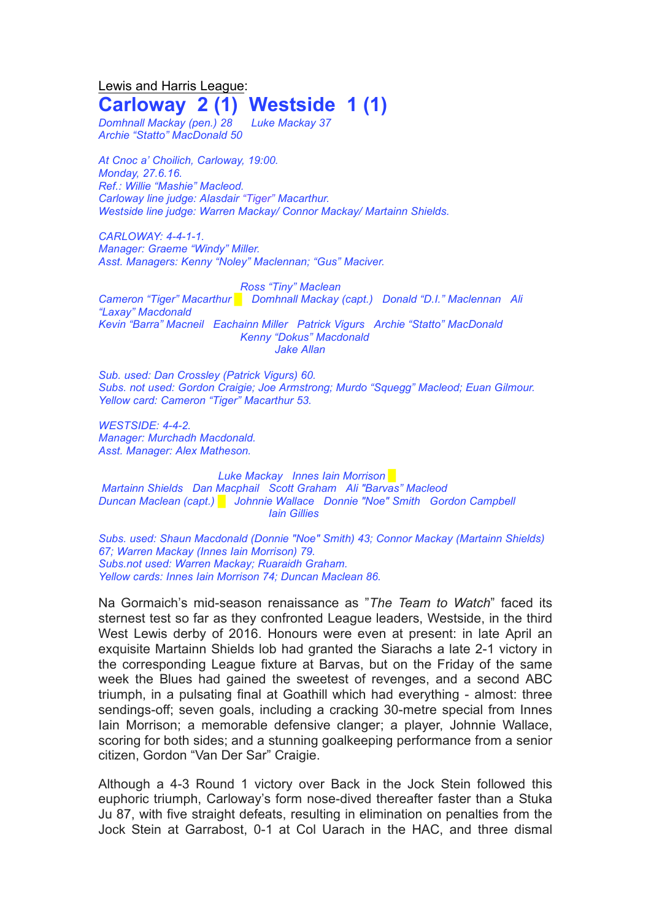Lewis and Harris League: **Carloway 2 (1) Westside 1 (1)**

*Domhnall Mackay (pen.) 28 Luke Mackay 37 Archie "Statto" MacDonald 50*

*At Cnoc a' Choilich, Carloway, 19:00. Monday, 27.6.16. Ref.: Willie "Mashie" Macleod. Carloway line judge: Alasdair "Tiger" Macarthur. Westside line judge: Warren Mackay/ Connor Mackay/ Martainn Shields.*

*CARLOWAY: 4-4-1-1. Manager: Graeme "Windy" Miller. Asst. Managers: Kenny "Noley" Maclennan; "Gus" Maciver.*

*Ross "Tiny" Maclean Cameron "Tiger" Macarthur █ Domhnall Mackay (capt.) Donald "D.I." Maclennan Ali "Laxay" Macdonald Kevin "Barra" Macneil Eachainn Miller Patrick Vigurs Archie "Statto" MacDonald Kenny "Dokus" Macdonald Jake Allan*

*Sub. used: Dan Crossley (Patrick Vigurs) 60. Subs. not used: Gordon Craigie; Joe Armstrong; Murdo "Squegg" Macleod; Euan Gilmour. Yellow card: Cameron "Tiger" Macarthur 53.*

*WESTSIDE: 4-4-2. Manager: Murchadh Macdonald. Asst. Manager: Alex Matheson.*

*Luke Mackay Innes Iain Morrison* █ *Martainn Shields Dan Macphail Scott Graham Ali "Barvas" Macleod Duncan Maclean (capt.) █ Johnnie Wallace Donnie "Noe" Smith Gordon Campbell Iain Gillies*

*Subs. used: Shaun Macdonald (Donnie "Noe" Smith) 43; Connor Mackay (Martainn Shields) 67; Warren Mackay (Innes Iain Morrison) 79. Subs.not used: Warren Mackay; Ruaraidh Graham. Yellow cards: Innes Iain Morrison 74; Duncan Maclean 86.*

Na Gormaich's mid-season renaissance as "*The Team to Watch*" faced its sternest test so far as they confronted League leaders, Westside, in the third West Lewis derby of 2016. Honours were even at present: in late April an exquisite Martainn Shields lob had granted the Siarachs a late 2-1 victory in the corresponding League fixture at Barvas, but on the Friday of the same week the Blues had gained the sweetest of revenges, and a second ABC triumph, in a pulsating final at Goathill which had everything - almost: three sendings-off; seven goals, including a cracking 30-metre special from Innes Iain Morrison; a memorable defensive clanger; a player, Johnnie Wallace, scoring for both sides; and a stunning goalkeeping performance from a senior citizen, Gordon "Van Der Sar" Craigie.

Although a 4-3 Round 1 victory over Back in the Jock Stein followed this euphoric triumph, Carloway's form nose-dived thereafter faster than a Stuka Ju 87, with five straight defeats, resulting in elimination on penalties from the Jock Stein at Garrabost, 0-1 at Col Uarach in the HAC, and three dismal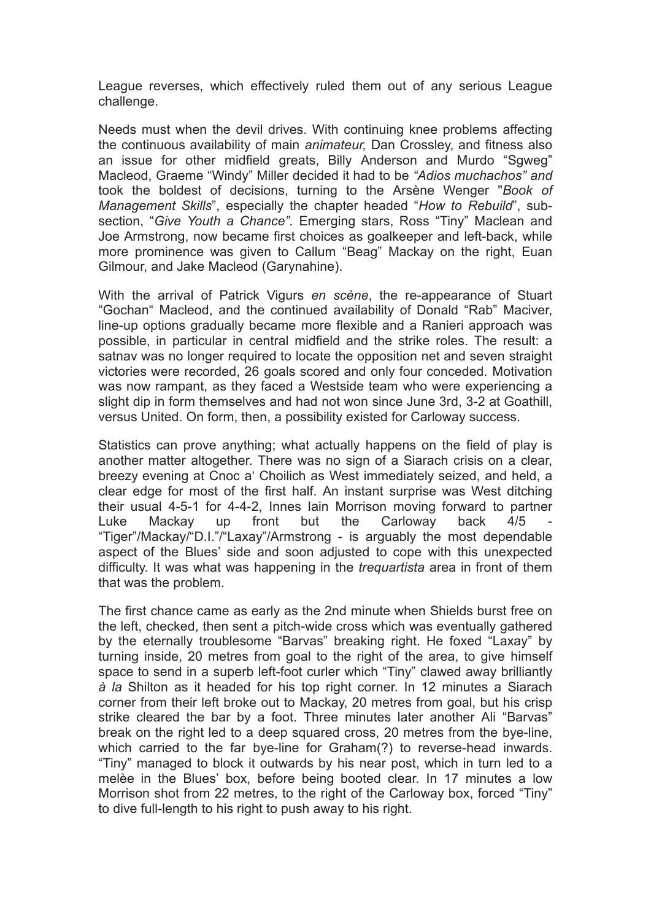League reverses, which effectively ruled them out of any serious League challenge.

Needs must when the devil drives. With continuing knee problems affecting the continuous availability of main *animateur,* Dan Crossley, and fitness also an issue for other midfield greats, Billy Anderson and Murdo "Sgweg" Macleod, Graeme "Windy" Miller decided it had to be *"Adios muchachos" and* took the boldest of decisions, turning to the Arsène Wenger "*Book of Management Skills*", especially the chapter headed "*How to Rebuild*", subsection, "*Give Youth a Chance".* Emerging stars, Ross "Tiny" Maclean and Joe Armstrong, now became first choices as goalkeeper and left-back, while more prominence was given to Callum "Beag" Mackay on the right, Euan Gilmour, and Jake Macleod (Garynahine).

With the arrival of Patrick Vigurs *en scène*, the re-appearance of Stuart "Gochan" Macleod, and the continued availability of Donald "Rab" Maciver, line-up options gradually became more flexible and a Ranieri approach was possible, in particular in central midfield and the strike roles. The result: a satnav was no longer required to locate the opposition net and seven straight victories were recorded, 26 goals scored and only four conceded. Motivation was now rampant, as they faced a Westside team who were experiencing a slight dip in form themselves and had not won since June 3rd, 3-2 at Goathill, versus United. On form, then, a possibility existed for Carloway success.

Statistics can prove anything; what actually happens on the field of play is another matter altogether. There was no sign of a Siarach crisis on a clear, breezy evening at Cnoc a' Choilich as West immediately seized, and held, a clear edge for most of the first half. An instant surprise was West ditching their usual 4-5-1 for 4-4-2, Innes Iain Morrison moving forward to partner Luke Mackay up front but the Carloway back 4/5 "Tiger"/Mackay/"D.I."/"Laxay"/Armstrong - is arguably the most dependable aspect of the Blues' side and soon adjusted to cope with this unexpected difficulty. It was what was happening in the *trequartista* area in front of them that was the problem.

The first chance came as early as the 2nd minute when Shields burst free on the left, checked, then sent a pitch-wide cross which was eventually gathered by the eternally troublesome "Barvas" breaking right. He foxed "Laxay" by turning inside, 20 metres from goal to the right of the area, to give himself space to send in a superb left-foot curler which "Tiny" clawed away brilliantly *à la* Shilton as it headed for his top right corner. In 12 minutes a Siarach corner from their left broke out to Mackay, 20 metres from goal, but his crisp strike cleared the bar by a foot. Three minutes later another Ali "Barvas" break on the right led to a deep squared cross, 20 metres from the bye-line, which carried to the far bye-line for Graham(?) to reverse-head inwards. "Tiny" managed to block it outwards by his near post, which in turn led to a melèe in the Blues' box, before being booted clear. In 17 minutes a low Morrison shot from 22 metres, to the right of the Carloway box, forced "Tiny" to dive full-length to his right to push away to his right.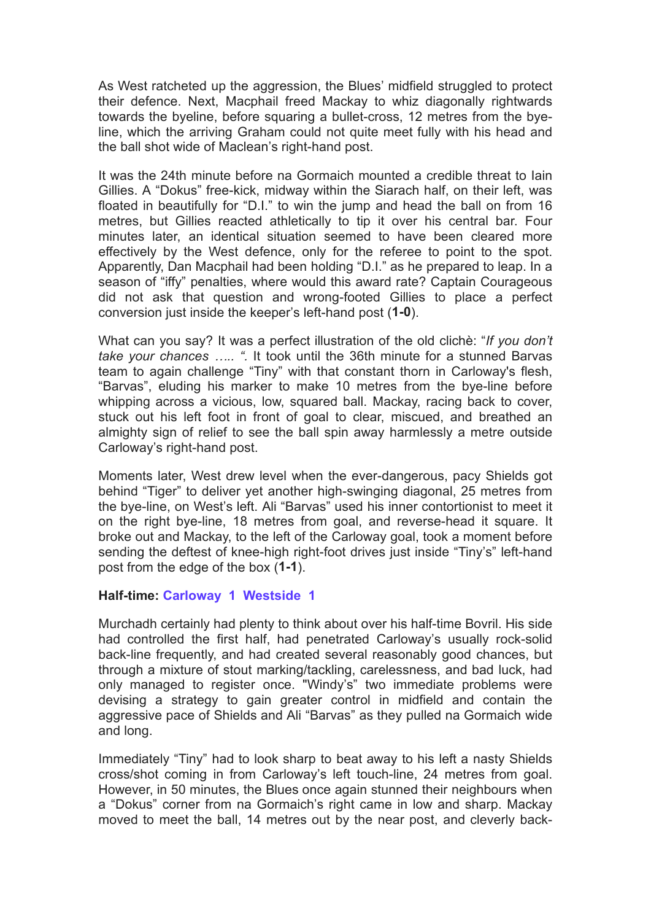As West ratcheted up the aggression, the Blues' midfield struggled to protect their defence. Next, Macphail freed Mackay to whiz diagonally rightwards towards the byeline, before squaring a bullet-cross, 12 metres from the byeline, which the arriving Graham could not quite meet fully with his head and the ball shot wide of Maclean's right-hand post.

It was the 24th minute before na Gormaich mounted a credible threat to Iain Gillies. A "Dokus" free-kick, midway within the Siarach half, on their left, was floated in beautifully for "D.I." to win the jump and head the ball on from 16 metres, but Gillies reacted athletically to tip it over his central bar. Four minutes later, an identical situation seemed to have been cleared more effectively by the West defence, only for the referee to point to the spot. Apparently, Dan Macphail had been holding "D.I." as he prepared to leap. In a season of "iffy" penalties, where would this award rate? Captain Courageous did not ask that question and wrong-footed Gillies to place a perfect conversion just inside the keeper's left-hand post (**1-0**).

What can you say? It was a perfect illustration of the old clichè: "*If you don't take your chances ….. ".* It took until the 36th minute for a stunned Barvas team to again challenge "Tiny" with that constant thorn in Carloway's flesh, "Barvas", eluding his marker to make 10 metres from the bye-line before whipping across a vicious, low, squared ball. Mackay, racing back to cover, stuck out his left foot in front of goal to clear, miscued, and breathed an almighty sign of relief to see the ball spin away harmlessly a metre outside Carloway's right-hand post.

Moments later, West drew level when the ever-dangerous, pacy Shields got behind "Tiger" to deliver yet another high-swinging diagonal, 25 metres from the bye-line, on West's left. Ali "Barvas" used his inner contortionist to meet it on the right bye-line, 18 metres from goal, and reverse-head it square. It broke out and Mackay, to the left of the Carloway goal, took a moment before sending the deftest of knee-high right-foot drives just inside "Tiny's" left-hand post from the edge of the box (**1-1**).

## **Half-time: Carloway 1 Westside 1**

Murchadh certainly had plenty to think about over his half-time Bovril. His side had controlled the first half, had penetrated Carloway's usually rock-solid back-line frequently, and had created several reasonably good chances, but through a mixture of stout marking/tackling, carelessness, and bad luck, had only managed to register once. "Windy's" two immediate problems were devising a strategy to gain greater control in midfield and contain the aggressive pace of Shields and Ali "Barvas" as they pulled na Gormaich wide and long.

Immediately "Tiny" had to look sharp to beat away to his left a nasty Shields cross/shot coming in from Carloway's left touch-line, 24 metres from goal. However, in 50 minutes, the Blues once again stunned their neighbours when a "Dokus" corner from na Gormaich's right came in low and sharp. Mackay moved to meet the ball, 14 metres out by the near post, and cleverly back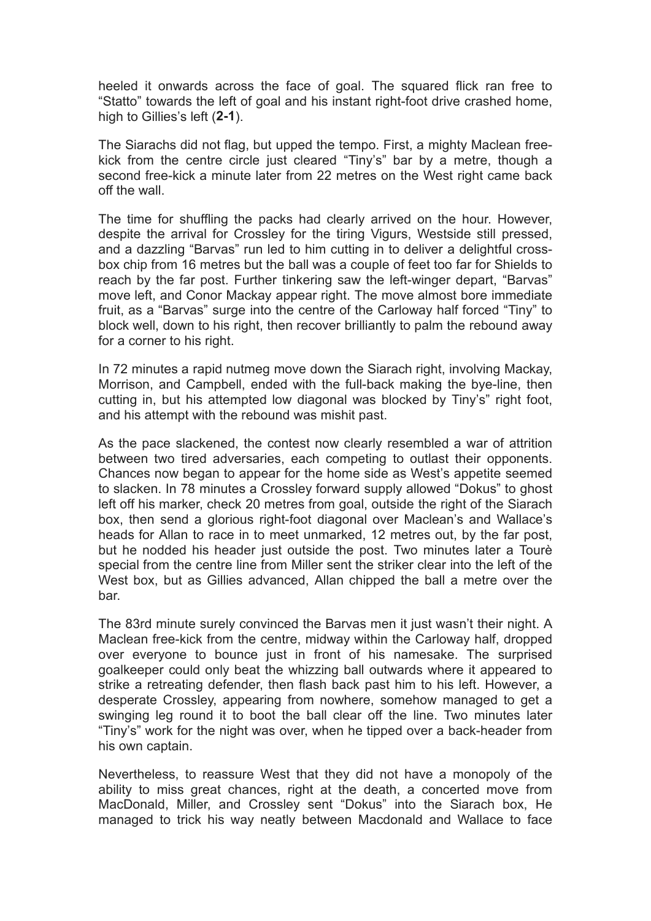heeled it onwards across the face of goal. The squared flick ran free to "Statto" towards the left of goal and his instant right-foot drive crashed home, high to Gillies's left (**2-1**).

The Siarachs did not flag, but upped the tempo. First, a mighty Maclean freekick from the centre circle just cleared "Tiny's" bar by a metre, though a second free-kick a minute later from 22 metres on the West right came back off the wall.

The time for shuffling the packs had clearly arrived on the hour. However, despite the arrival for Crossley for the tiring Vigurs, Westside still pressed, and a dazzling "Barvas" run led to him cutting in to deliver a delightful crossbox chip from 16 metres but the ball was a couple of feet too far for Shields to reach by the far post. Further tinkering saw the left-winger depart, "Barvas" move left, and Conor Mackay appear right. The move almost bore immediate fruit, as a "Barvas" surge into the centre of the Carloway half forced "Tiny" to block well, down to his right, then recover brilliantly to palm the rebound away for a corner to his right.

In 72 minutes a rapid nutmeg move down the Siarach right, involving Mackay, Morrison, and Campbell, ended with the full-back making the bye-line, then cutting in, but his attempted low diagonal was blocked by Tiny's" right foot, and his attempt with the rebound was mishit past.

As the pace slackened, the contest now clearly resembled a war of attrition between two tired adversaries, each competing to outlast their opponents. Chances now began to appear for the home side as West's appetite seemed to slacken. In 78 minutes a Crossley forward supply allowed "Dokus" to ghost left off his marker, check 20 metres from goal, outside the right of the Siarach box, then send a glorious right-foot diagonal over Maclean's and Wallace's heads for Allan to race in to meet unmarked, 12 metres out, by the far post, but he nodded his header just outside the post. Two minutes later a Tourè special from the centre line from Miller sent the striker clear into the left of the West box, but as Gillies advanced, Allan chipped the ball a metre over the bar.

The 83rd minute surely convinced the Barvas men it just wasn't their night. A Maclean free-kick from the centre, midway within the Carloway half, dropped over everyone to bounce just in front of his namesake. The surprised goalkeeper could only beat the whizzing ball outwards where it appeared to strike a retreating defender, then flash back past him to his left. However, a desperate Crossley, appearing from nowhere, somehow managed to get a swinging leg round it to boot the ball clear off the line. Two minutes later "Tiny's" work for the night was over, when he tipped over a back-header from his own captain.

Nevertheless, to reassure West that they did not have a monopoly of the ability to miss great chances, right at the death, a concerted move from MacDonald, Miller, and Crossley sent "Dokus" into the Siarach box, He managed to trick his way neatly between Macdonald and Wallace to face